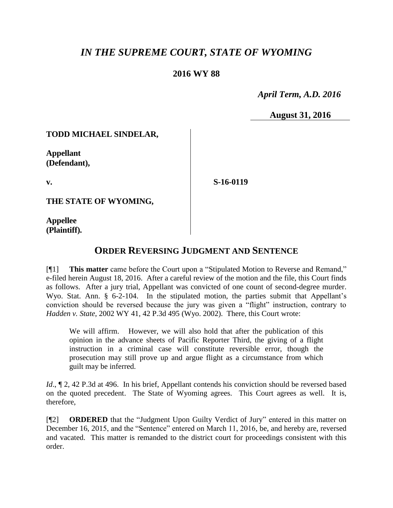# *IN THE SUPREME COURT, STATE OF WYOMING*

### **2016 WY 88**

 *April Term, A.D. 2016*

**August 31, 2016**

#### **TODD MICHAEL SINDELAR,**

**Appellant (Defendant),**

**v.**

**S-16-0119**

**THE STATE OF WYOMING,**

**Appellee (Plaintiff).**

## **ORDER REVERSING JUDGMENT AND SENTENCE**

[¶1] **This matter** came before the Court upon a "Stipulated Motion to Reverse and Remand," e-filed herein August 18, 2016. After a careful review of the motion and the file, this Court finds as follows. After a jury trial, Appellant was convicted of one count of second-degree murder. Wyo. Stat. Ann. § 6-2-104. In the stipulated motion, the parties submit that Appellant's conviction should be reversed because the jury was given a "flight" instruction, contrary to *Hadden v. State*, 2002 WY 41, 42 P.3d 495 (Wyo. 2002). There, this Court wrote:

We will affirm. However, we will also hold that after the publication of this opinion in the advance sheets of Pacific Reporter Third, the giving of a flight instruction in a criminal case will constitute reversible error, though the prosecution may still prove up and argue flight as a circumstance from which guilt may be inferred.

*Id.*,  $\mathbb{I}2$ , 42 P.3d at 496. In his brief, Appellant contends his conviction should be reversed based on the quoted precedent. The State of Wyoming agrees. This Court agrees as well. It is, therefore,

[¶2] **ORDERED** that the "Judgment Upon Guilty Verdict of Jury" entered in this matter on December 16, 2015, and the "Sentence" entered on March 11, 2016, be, and hereby are, reversed and vacated. This matter is remanded to the district court for proceedings consistent with this order.